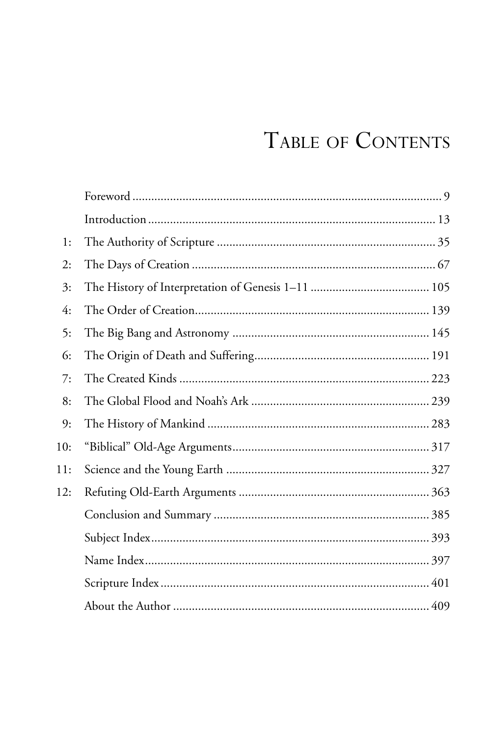# TABLE OF CONTENTS

| 1:  |  |
|-----|--|
| 2:  |  |
| 3:  |  |
| 4:  |  |
| 5:  |  |
| 6:  |  |
| 7:  |  |
| 8:  |  |
| 9:  |  |
| 10: |  |
| 11: |  |
| 12: |  |
|     |  |
|     |  |
|     |  |
|     |  |
|     |  |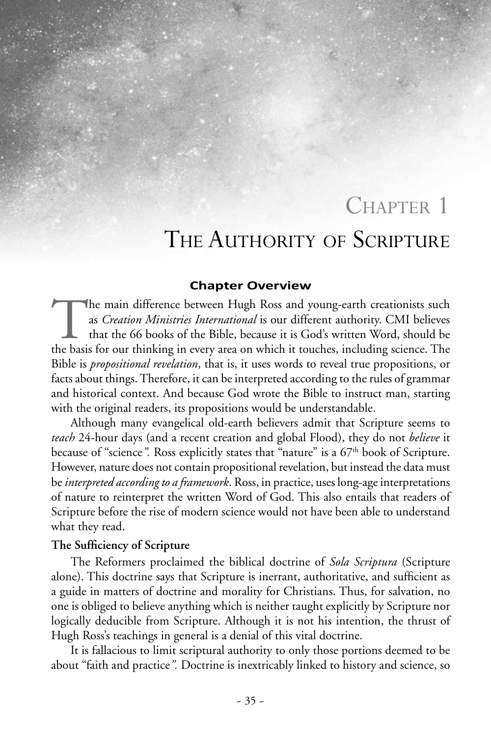# CHAPTER 1

# THE AUTHORITY OF SCRIPTURE

#### **Chapter Overview**

The main difference between Hugh Ross and young-earth creationists such as *Creation Ministries International* is our different authority. CMI believes that the 66 books of the Bible, because it is God's written Word, should be the basis for our thinking in every area on which it touches, including science. The Bible is *propositional revelation*, that is, it uses words to reveal true propositions, or facts about things. Therefore, it can be interpreted according to the rules of grammar and historical context. And because God wrote the Bible to instruct man, starting with the original readers, its propositions would be understandable.

Although many evangelical old-earth believers admit that Scripture seems to *teach* 24-hour days (and a recent creation and global Flood), they do not *believe* it because of "science". Ross explicitly states that "nature" is a 67<sup>th</sup> book of Scripture. However, nature does not contain propositional revelation, but instead the data must be *interpreted according to a framework*. Ross, in practice, uses long-age interpretations of nature to reinterpret the written Word of God. This also entails that readers of Scripture before the rise of modern science would not have been able to understand what they read.

#### **The Sufficiency of Scripture**

The Reformers proclaimed the biblical doctrine of *Sola Scriptura* (Scripture alone). This doctrine says that Scripture is inerrant, authoritative, and sufficient as a guide in matters of doctrine and morality for Christians. Thus, for salvation, no one is obliged to believe anything which is neither taught explicitly by Scripture nor logically deducible from Scripture. Although it is not his intention, the thrust of Hugh Ross's teachings in general is a denial of this vital doctrine.

It is fallacious to limit scriptural authority to only those portions deemed to be about "faith and practice*".* Doctrine is inextricably linked to history and science, so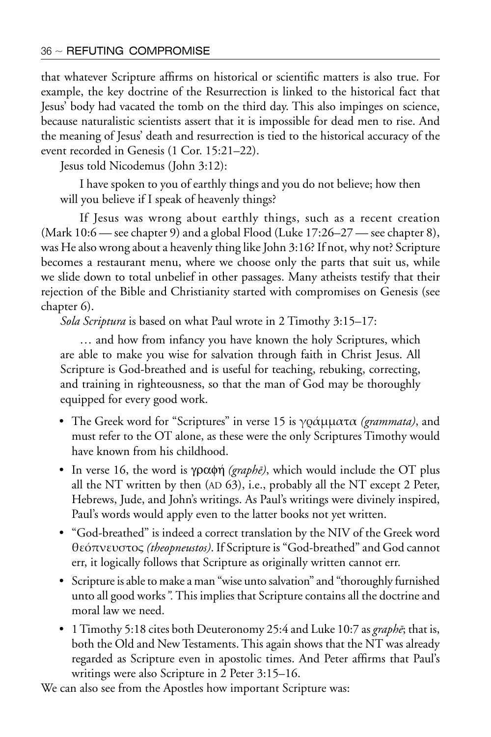that whatever Scripture affirms on historical or scientific matters is also true. For example, the key doctrine of the Resurrection is linked to the historical fact that Jesus' body had vacated the tomb on the third day. This also impinges on science, because naturalistic scientists assert that it is impossible for dead men to rise. And the meaning of Jesus' death and resurrection is tied to the historical accuracy of the event recorded in Genesis (1 Cor. 15:21–22).

Jesus told Nicodemus (John 3:12):

I have spoken to you of earthly things and you do not believe; how then will you believe if I speak of heavenly things?

If Jesus was wrong about earthly things, such as a recent creation (Mark 10:6 — see chapter 9) and a global Flood (Luke 17:26–27 — see chapter 8), was He also wrong about a heavenly thing like John 3:16? If not, why not? Scripture becomes a restaurant menu, where we choose only the parts that suit us, while we slide down to total unbelief in other passages. Many atheists testify that their rejection of the Bible and Christianity started with compromises on Genesis (see chapter 6).

*Sola Scriptura* is based on what Paul wrote in 2 Timothy 3:15–17:

… and how from infancy you have known the holy Scriptures, which are able to make you wise for salvation through faith in Christ Jesus. All Scripture is God-breathed and is useful for teaching, rebuking, correcting, and training in righteousness, so that the man of God may be thoroughly equipped for every good work.

- The Greek word for "Scriptures" in verse 15 is γράμματα *(grammata)*, and must refer to the OT alone, as these were the only Scriptures Timothy would have known from his childhood.
- In verse 16, the word is  $\gamma \rho \alpha \phi \eta$  (*graph* $\bar{e}$ *)*, which would include the OT plus all the NT written by then (AD 63), i.e., probably all the NT except 2 Peter, Hebrews, Jude, and John's writings. As Paul's writings were divinely inspired, Paul's words would apply even to the latter books not yet written.
- "God-breathed" is indeed a correct translation by the NIV of the Greek word θεόπνευστος *(theopneustos)*. If Scripture is "God-breathed" and God cannot err, it logically follows that Scripture as originally written cannot err.
- Scripture is able to make a man "wise unto salvation" and "thoroughly furnished unto all good works*".* This implies that Scripture contains all the doctrine and moral law we need.
- 1 Timothy 5:18 cites both Deuteronomy 25:4 and Luke 10:7 as *graphē*; that is, both the Old and New Testaments. This again shows that the NT was already regarded as Scripture even in apostolic times. And Peter affirms that Paul's writings were also Scripture in 2 Peter 3:15–16.

We can also see from the Apostles how important Scripture was: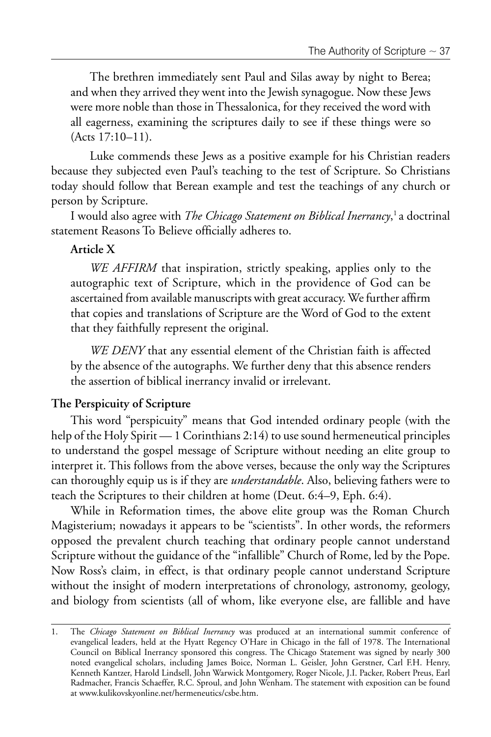The brethren immediately sent Paul and Silas away by night to Berea; and when they arrived they went into the Jewish synagogue. Now these Jews were more noble than those in Thessalonica, for they received the word with all eagerness, examining the scriptures daily to see if these things were so (Acts 17:10–11).

Luke commends these Jews as a positive example for his Christian readers because they subjected even Paul's teaching to the test of Scripture. So Christians today should follow that Berean example and test the teachings of any church or person by Scripture.

I would also agree with *The Chicago Statement on Biblical Inerrancy*, 1 a doctrinal statement Reasons To Believe officially adheres to.

### **Article X**

*WE AFFIRM* that inspiration, strictly speaking, applies only to the autographic text of Scripture, which in the providence of God can be ascertained from available manuscripts with great accuracy. We further affirm that copies and translations of Scripture are the Word of God to the extent that they faithfully represent the original.

*WE DENY* that any essential element of the Christian faith is affected by the absence of the autographs. We further deny that this absence renders the assertion of biblical inerrancy invalid or irrelevant.

#### **The Perspicuity of Scripture**

This word "perspicuity" means that God intended ordinary people (with the help of the Holy Spirit — 1 Corinthians 2:14) to use sound hermeneutical principles to understand the gospel message of Scripture without needing an elite group to interpret it. This follows from the above verses, because the only way the Scriptures can thoroughly equip us is if they are *understandable*. Also, believing fathers were to teach the Scriptures to their children at home (Deut. 6:4–9, Eph. 6:4).

While in Reformation times, the above elite group was the Roman Church Magisterium; nowadays it appears to be "scientists". In other words, the reformers opposed the prevalent church teaching that ordinary people cannot understand Scripture without the guidance of the "infallible" Church of Rome, led by the Pope. Now Ross's claim, in effect, is that ordinary people cannot understand Scripture without the insight of modern interpretations of chronology, astronomy, geology, and biology from scientists (all of whom, like everyone else, are fallible and have

<sup>1.</sup> The *Chicago Statement on Biblical Inerrancy* was produced at an international summit conference of evangelical leaders, held at the Hyatt Regency O'Hare in Chicago in the fall of 1978. The International Council on Biblical Inerrancy sponsored this congress. The Chicago Statement was signed by nearly 300 noted evangelical scholars, including James Boice, Norman L. Geisler, John Gerstner, Carl F.H. Henry, Kenneth Kantzer, Harold Lindsell, John Warwick Montgomery, Roger Nicole, J.I. Packer, Robert Preus, Earl Radmacher, Francis Schaeffer, R.C. Sproul, and John Wenham. The statement with exposition can be found at www.kulikovskyonline.net/hermeneutics/csbe.htm.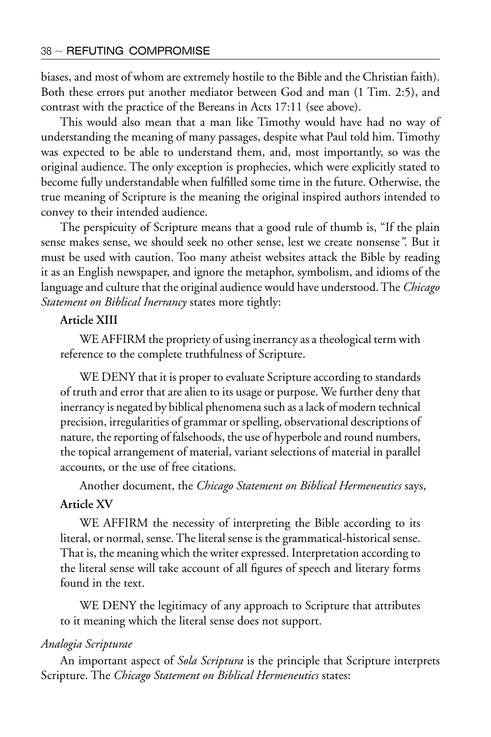biases, and most of whom are extremely hostile to the Bible and the Christian faith). Both these errors put another mediator between God and man (1 Tim. 2:5), and contrast with the practice of the Bereans in Acts 17:11 (see above).

This would also mean that a man like Timothy would have had no way of understanding the meaning of many passages, despite what Paul told him. Timothy was expected to be able to understand them, and, most importantly, so was the original audience. The only exception is prophecies, which were explicitly stated to become fully understandable when fulfilled some time in the future. Otherwise, the true meaning of Scripture is the meaning the original inspired authors intended to convey to their intended audience.

The perspicuity of Scripture means that a good rule of thumb is, "If the plain sense makes sense, we should seek no other sense, lest we create nonsense*".* But it must be used with caution. Too many atheist websites attack the Bible by reading it as an English newspaper, and ignore the metaphor, symbolism, and idioms of the language and culture that the original audience would have understood. The *Chicago Statement on Biblical Inerrancy* states more tightly:

## **Article XIII**

WE AFFIRM the propriety of using inerrancy as a theological term with reference to the complete truthfulness of Scripture.

WE DENY that it is proper to evaluate Scripture according to standards of truth and error that are alien to its usage or purpose. We further deny that inerrancy is negated by biblical phenomena such as a lack of modern technical precision, irregularities of grammar or spelling, observational descriptions of nature, the reporting of falsehoods, the use of hyperbole and round numbers, the topical arrangement of material, variant selections of material in parallel accounts, or the use of free citations.

Another document, the *Chicago Statement on Biblical Hermeneutics* says,

### **Article XV**

WE AFFIRM the necessity of interpreting the Bible according to its literal, or normal, sense. The literal sense is the grammatical-historical sense. That is, the meaning which the writer expressed. Interpretation according to the literal sense will take account of all figures of speech and literary forms found in the text.

WE DENY the legitimacy of any approach to Scripture that attributes to it meaning which the literal sense does not support.

#### *Analogia Scripturae*

An important aspect of *Sola Scriptura* is the principle that Scripture interprets Scripture. The *Chicago Statement on Biblical Hermeneutics* states: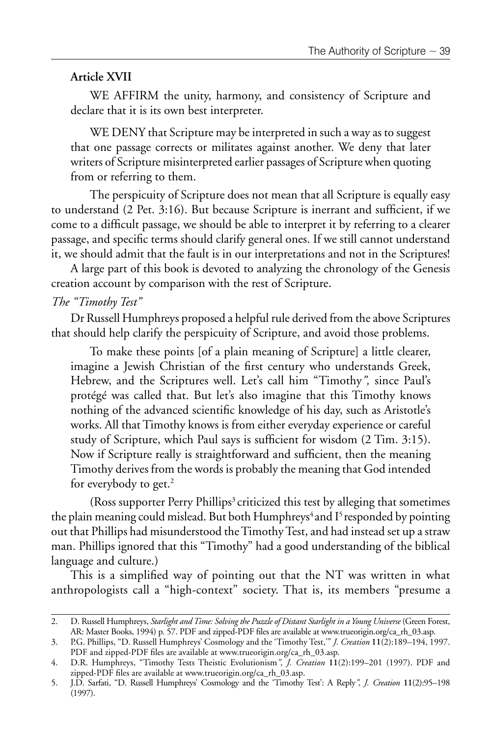## **Article XVII**

WE AFFIRM the unity, harmony, and consistency of Scripture and declare that it is its own best interpreter.

WE DENY that Scripture may be interpreted in such a way as to suggest that one passage corrects or militates against another. We deny that later writers of Scripture misinterpreted earlier passages of Scripture when quoting from or referring to them.

The perspicuity of Scripture does not mean that all Scripture is equally easy to understand (2 Pet. 3:16). But because Scripture is inerrant and sufficient, if we come to a difficult passage, we should be able to interpret it by referring to a clearer passage, and specific terms should clarify general ones. If we still cannot understand it, we should admit that the fault is in our interpretations and not in the Scriptures!

A large part of this book is devoted to analyzing the chronology of the Genesis creation account by comparison with the rest of Scripture.

### *The "Timothy Test"*

Dr Russell Humphreys proposed a helpful rule derived from the above Scriptures that should help clarify the perspicuity of Scripture, and avoid those problems.

To make these points [of a plain meaning of Scripture] a little clearer, imagine a Jewish Christian of the first century who understands Greek, Hebrew, and the Scriptures well. Let's call him "Timothy*",* since Paul's protégé was called that. But let's also imagine that this Timothy knows nothing of the advanced scientific knowledge of his day, such as Aristotle's works. All that Timothy knows is from either everyday experience or careful study of Scripture, which Paul says is sufficient for wisdom (2 Tim. 3:15). Now if Scripture really is straightforward and sufficient, then the meaning Timothy derives from the words is probably the meaning that God intended for everybody to get. $2$ 

(Ross supporter Perry Phillips<sup>3</sup> criticized this test by alleging that sometimes the plain meaning could mislead. But both Humphreys<sup>4</sup> and I<sup>5</sup> responded by pointing out that Phillips had misunderstood the Timothy Test, and had instead set up a straw man. Phillips ignored that this "Timothy" had a good understanding of the biblical language and culture.)

This is a simplified way of pointing out that the NT was written in what anthropologists call a "high-context" society. That is, its members "presume a

<sup>2.</sup> D. Russell Humphreys, *Starlight and Time: Solving the Puzzle of Distant Starlight in a Young Universe* (Green Forest, AR: Master Books, 1994) p. 57. PDF and zipped-PDF files are available at www.trueorigin.org/ca\_rh\_03.asp.

<sup>3.</sup> P.G. Phillips, "D. Russell Humphreys' Cosmology and the 'Timothy Test,'" *J. Creation* **11**(2):189–194, 1997. PDF and zipped-PDF files are available at www.trueorigin.org/ca\_rh\_03.asp.

<sup>4.</sup> D.R. Humphreys, "Timothy Tests Theistic Evolutionism*", J. Creation* **11**(2):199–201 (1997). PDF and zipped-PDF files are available at www.trueorigin.org/ca\_rh\_03.asp.

<sup>5.</sup> J.D. Sarfati, "D. Russell Humphreys' Cosmology and the 'Timothy Test': A Reply*", J. Creation* **11**(2):95–198 (1997).